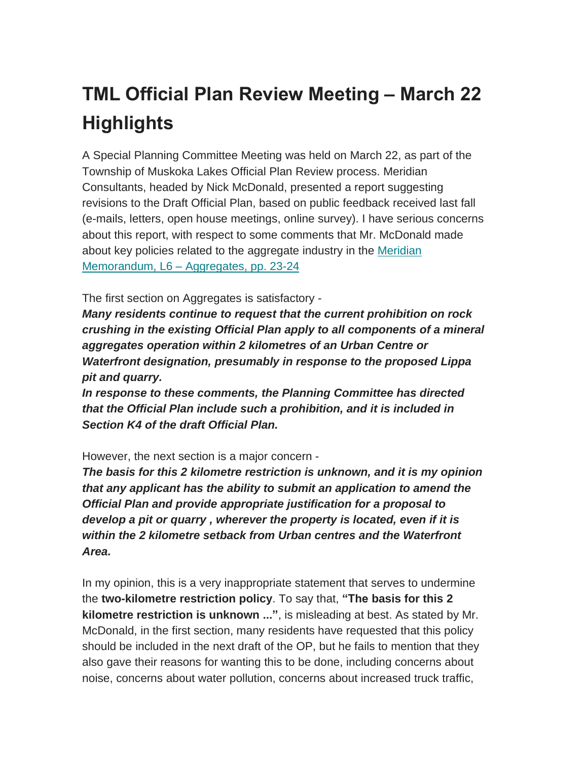## **TML Official Plan Review Meeting – March 22 Highlights**

A Special Planning Committee Meeting was held on March 22, as part of the Township of Muskoka Lakes Official Plan Review process. Meridian Consultants, headed by Nick McDonald, presented a report suggesting revisions to the Draft Official Plan, based on public feedback received last fall (e-mails, letters, open house meetings, online survey). I have serious concerns about this report, with respect to some comments that Mr. McDonald made about key policies related to the aggregate industry in the [Meridian](https://stopmuskokapit.us15.list-manage.com/track/click?u=473eed0482edeb8543ad6b43e&id=208488466d&e=183f070a41) [Memorandum,](https://stopmuskokapit.us15.list-manage.com/track/click?u=473eed0482edeb8543ad6b43e&id=208488466d&e=183f070a41) L6 – Aggregates, pp. 23-24

The first section on Aggregates is satisfactory -

*Many residents continue to request that the current prohibition on rock crushing in the existing Official Plan apply to all components of a mineral aggregates operation within 2 kilometres of an Urban Centre or Waterfront designation, presumably in response to the proposed Lippa pit and quarry.*

*In response to these comments, the Planning Committee has directed that the Official Plan include such a prohibition, and it is included in Section K4 of the draft Official Plan.*

However, the next section is a major concern -

*The basis for this 2 kilometre restriction is unknown, and it is my opinion that any applicant has the ability to submit an application to amend the Official Plan and provide appropriate justification for a proposal to develop a pit or quarry , wherever the property is located, even if it is within the 2 kilometre setback from Urban centres and the Waterfront Area.*

In my opinion, this is a very inappropriate statement that serves to undermine the **two-kilometre restriction policy**. To say that, **"The basis for this 2 kilometre restriction is unknown ..."**, is misleading at best. As stated by Mr. McDonald, in the first section, many residents have requested that this policy should be included in the next draft of the OP, but he fails to mention that they also gave their reasons for wanting this to be done, including concerns about noise, concerns about water pollution, concerns about increased truck traffic,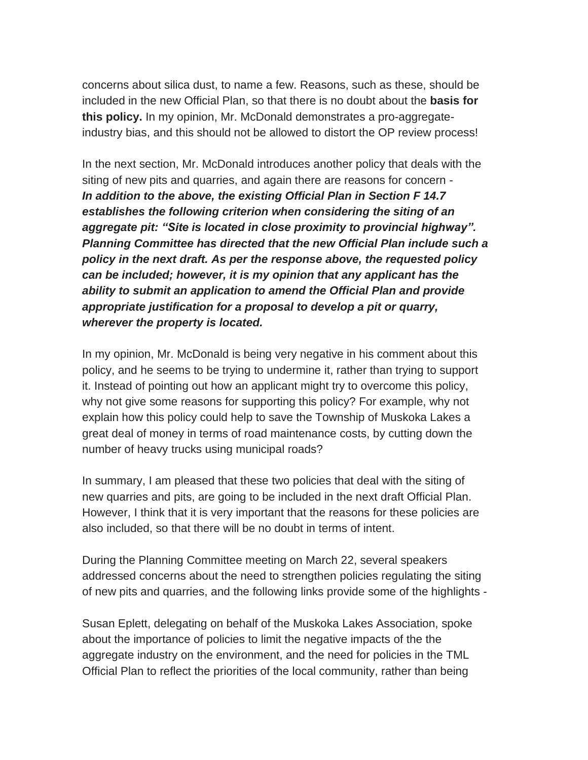concerns about silica dust, to name a few. Reasons, such as these, should be included in the new Official Plan, so that there is no doubt about the **basis for this policy.** In my opinion, Mr. McDonald demonstrates a pro-aggregateindustry bias, and this should not be allowed to distort the OP review process!

In the next section, Mr. McDonald introduces another policy that deals with the siting of new pits and quarries, and again there are reasons for concern - *In addition to the above, the existing Official Plan in Section F 14.7 establishes the following criterion when considering the siting of an aggregate pit: "Site is located in close proximity to provincial highway". Planning Committee has directed that the new Official Plan include such a policy in the next draft. As per the response above, the requested policy can be included; however, it is my opinion that any applicant has the ability to submit an application to amend the Official Plan and provide appropriate justification for a proposal to develop a pit or quarry, wherever the property is located.*

In my opinion, Mr. McDonald is being very negative in his comment about this policy, and he seems to be trying to undermine it, rather than trying to support it. Instead of pointing out how an applicant might try to overcome this policy, why not give some reasons for supporting this policy? For example, why not explain how this policy could help to save the Township of Muskoka Lakes a great deal of money in terms of road maintenance costs, by cutting down the number of heavy trucks using municipal roads?

In summary, I am pleased that these two policies that deal with the siting of new quarries and pits, are going to be included in the next draft Official Plan. However, I think that it is very important that the reasons for these policies are also included, so that there will be no doubt in terms of intent.

During the Planning Committee meeting on March 22, several speakers addressed concerns about the need to strengthen policies regulating the siting of new pits and quarries, and the following links provide some of the highlights -

Susan Eplett, delegating on behalf of the Muskoka Lakes Association, spoke about the importance of policies to limit the negative impacts of the the aggregate industry on the environment, and the need for policies in the TML Official Plan to reflect the priorities of the local community, rather than being